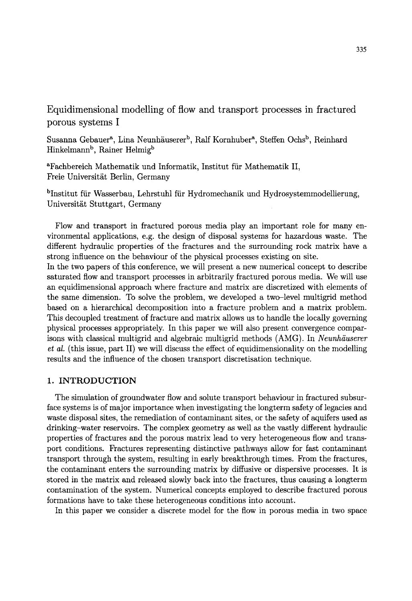Equidimensional modelling of flow and transport processes in fractured porous systems I

Susanna Gebauer<sup>a</sup>, Lina Neunhäuserer<sup>b</sup>, Ralf Kornhuber<sup>a</sup>, Steffen Ochs<sup>b</sup>, Reinhard Hinkelmann<sup>b</sup>, Rainer Helmig<sup>b</sup>

aFachbereich Mathematik und Informatik, Institut fiir Mathematik II, Freie Universität Berlin, Germany

bInstitut fiir Wasserbau, Lehrstuhl fiir Hydromechanik und Hydrosystemmodellierung, Universität Stuttgart, Germany

Flow and transport in fractured porous media play an important role for many environmental applications, e.g. the design of disposal systems for hazardous waste. The different hydraulic properties of the fractures and the surrounding rock matrix have a strong influence on the behaviour of the physical processes existing on site.

In the two papers of this conference, we will present a new numerical concept to describe saturated flow and transport processes in arbitrarily fractured porous media. We will use an equidimensional approach where fracture and matrix are discretized with elements of the same dimension. To solve the problem, we developed a two-level multigrid method based on a hierarchical decomposition into a fracture problem and a matrix problem. This decoupled treatment of fracture and matrix allows us to handle the locally governing physical processes appropriately. In this paper we will also present convergence comparisons with classical multigrid and algebraic multigrid methods (AMG). In *Neunhiiuserer et al.* (this issue, part II) we will discuss the effect of equidimensionality on the modelling results and the influence of the chosen transport discretisation technique.

## 1. INTRODUCTION

The simulation of groundwater flow and solute transport behaviour in fractured subsurface systems is of major importance when investigating the longterm safety of legacies and waste disposal sites, the remediation of contaminant sites, or the safety of aquifers used as drinking-water reservoirs. The complex geometry as well as the vastly different hydraulic properties of fractures and the porous matrix lead to very heterogeneous flow and transport conditions. Fractures representing distinctive pathways allow for fast contaminant transport through the system, resulting in early breakthrough times. From the fractures, the contaminant enters the surrounding matrix by diffusive or dispersive processes. It is stored in the matrix and released slowly back into the fractures, thus causing a longterm contamination of the system. Numerical concepts employed to describe fractured porous formations have to take these heterogeneous conditions into account.

In this paper we consider a discrete model for the flow in porous media in two space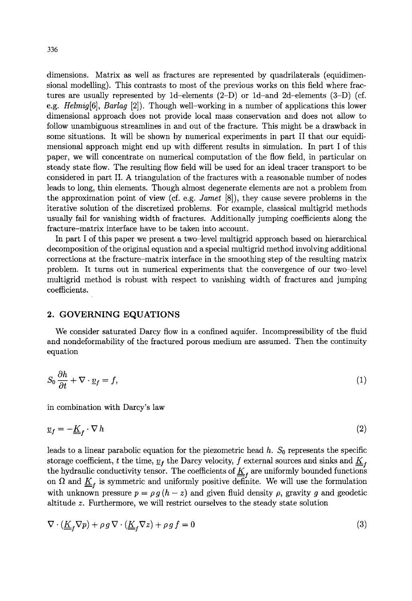dimensions. Matrix as well as fractures are represented by quadrilaterals (equidimensional modelling). This contrasts to most of the previous works on this field where fractures are usually represented by  $1d$ -elements  $(2-D)$  or  $1d$ -and  $2d$ -elements  $(3-D)$  (cf. e.g. *Helmig[6], Barlag* [2]). Though well-working in a number of applications this lower dimensional approach does not provide local mass conservation and does not allow to follow unambiguous streamlines in and out of the fracture. This might be a drawback in some situations. It will be shown by numerical experiments in part II that our equidimensional approach might end up with different results in simulation. In part I of this paper, we will concentrate on numerical computation of the flow field, in particular on steady state flow. The resulting flow field will be used for an ideal tracer transport to be considered in part II. A triangulation of the fractures with a reasonable number of nodes leads to long, thin elements. Though almost degenerate elements are not a problem from the approximation point of view (cf. e.g. *Jamet* [8]), they cause severe problems in the iterative solution of the discretized problems. For example, classical multigrid methods usually fail for vanishing width of fractures. Additionally jumping coefficients along the fracture-matrix interface have to be taken into account.

In part I of this paper we present a two-level multigrid approach based on hierarchical decomposition of the original equation and a special multigrid method involving additional corrections at the fracture-matrix interface in the smoothing step of the resulting matrix problem. It turns out in numerical experiments that the convergence of our two-level multigrid method is robust with respect to vanishing width of fractures and jumping coefficients.

# 2. GOVERNING EQUATIONS

We consider saturated Darcy flow in a confined aquifer. Incompressibility of the fluid and nondeformability of the fractured porous medium are assumed. Then the continuity equation

$$
S_0 \frac{\partial h}{\partial t} + \nabla \cdot \underline{v}_f = f,\tag{1}
$$

in combination with Darcy's law

$$
\underline{v}_f = -\underline{\underline{K}}_f \cdot \nabla h \tag{2}
$$

leads to a linear parabolic equation for the piezometric head  $h$ .  $S_0$  represents the specific storage coefficient, t the time,  $v_f$  the Darcy velocity, f external sources and sinks and  $\underline{K}_f$ the hydraulic conductivity tensor. The coefficients of  $\underline{\underline{K}}_f$  are uniformly bounded functions on  $\Omega$  and  $\underline{K}_f$  is symmetric and uniformly positive definite. We will use the formulation with unknown pressure  $p = \rho g (h - z)$  and given fluid density  $\rho$ , gravity g and geodetic altitude z. Furthermore, we will restrict ourselves to the steady state solution

$$
\nabla \cdot (\underline{\underline{K}}_f \nabla p) + \rho g \, \nabla \cdot (\underline{\underline{K}}_f \nabla z) + \rho g \, f = 0 \tag{3}
$$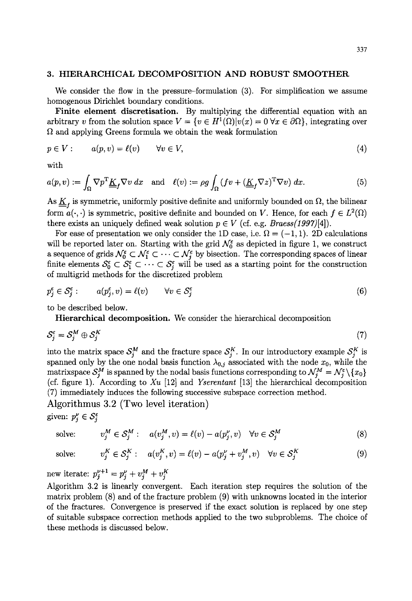## **3. HIERARCHICAL DECOMPOSITION AND ROBUST SMOOTHER**

We consider the flow in the pressure-formulation (3). For simplification we assume homogenous Dirichlet boundary conditions.

Finite element discretisation. By multiplying the differential equation with an arbitrary v from the solution space  $V = \{v \in H^1(\Omega)|v(x) = 0 \,\forall x \in \partial\Omega\}$ , integrating over  $\Omega$  and applying Greens formula we obtain the weak formulation

$$
p \in V: \qquad a(p, v) = \ell(v) \qquad \forall v \in V,\tag{4}
$$

with

$$
a(p, v) := \int_{\Omega} \nabla p^{\mathrm{T}} \underline{\underline{K}}_f \nabla v \, dx \quad \text{and} \quad \ell(v) := \rho g \int_{\Omega} (f v + (\underline{\underline{K}}_f \nabla z)^{\mathrm{T}} \nabla v) \, dx. \tag{5}
$$

As  $\underline{\underline{K}}_f$  is symmetric, uniformly positive definite and uniformly bounded on  $\Omega$ , the bilinear form  $a(\cdot, \cdot)$  is symmetric, positive definite and bounded on V. Hence, for each  $f \in L^2(\Omega)$ there exists an uniquely defined weak solution  $p \in V$  (cf. e.g. *Braess(1997)[4]*).

For ease of presentation we only consider the 1D case, i.e.  $\Omega = (-1,1)$ . 2D calculations will be reported later on. Starting with the grid  $\mathcal{N}_0^{\varepsilon}$  as depicted in figure 1, we construct a sequence of grids  $\mathcal{N}_0^{\varepsilon} \subset \mathcal{N}_1^{\varepsilon} \subset \cdots \subset \mathcal{N}_j^{\varepsilon}$  by bisection. The corresponding spaces of linear finite elements  $S_0^{\varepsilon} \subset S_1^{\varepsilon} \subset \cdots \subset S_i^{\varepsilon}$  will be used as a starting point for the construction of multigrid methods for the discretized problem

$$
p_j^{\varepsilon} \in \mathcal{S}_j^{\varepsilon} : \qquad a(p_j^{\varepsilon}, v) = \ell(v) \qquad \forall v \in \mathcal{S}_j^{\varepsilon} \tag{6}
$$

to be described below.

Hierarchical decomposition. We consider the hierarchical decomposition

$$
\mathcal{S}_j^{\varepsilon} = \mathcal{S}_j^M \oplus \mathcal{S}_j^K \tag{7}
$$

into the matrix space  $\mathcal{S}_j^M$  and the fracture space  $\mathcal{S}_j^K$ . In our introductory example  $\mathcal{S}_j^K$  is spanned only by the one nodal basis function  $\lambda_{0,j}$  associated with the node  $x_0$ , while the matrixspace  $S_i^M$  is spanned by the nodal basis functions corresponding to  $\mathcal{N}_i^M = \mathcal{N}_i^{\epsilon} \setminus \{x_0\}$ (cf. figure 1). According to *Xu* [12] and *Yserentant* [13] the hierarchical decomposition (7) immediately induces the following successive subspace correction method.

Algorithmus 3.2 (Two level iteration)

given:  $p_i^{\nu} \in \mathcal{S}_i^{\varepsilon}$ 

solve: 
$$
v_j^M \in \mathcal{S}_j^M
$$
:  $a(v_j^M, v) = \ell(v) - a(p_j^{\nu}, v) \quad \forall v \in \mathcal{S}_j^M$  (8)

solve: 
$$
v_j^K \in \mathcal{S}_j^K
$$
:  $a(v_j^K, v) = \ell(v) - a(p_j^\nu + v_j^M, v) \quad \forall v \in \mathcal{S}_j^K$  (9)

new iterate:  $p_i^{\nu+1} = p_i^{\nu} + v_i^M + v_i^K$ 

Algorithm 3.2 is linearly convergent. Each iteration step requires the solution of the matrix problem (8) and of the fracture problem (9) with unknowns located in the interior of the fractures. Convergence is preserved if the exact solution is replaced by one step of suitable subspace correction methods applied to the two subproblems. The choice of these methods is discussed below.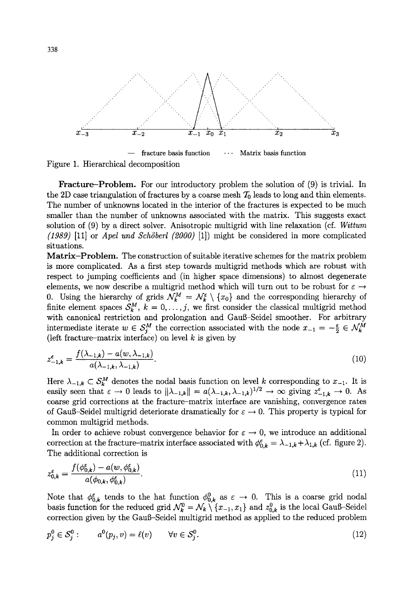

Fracture-Problem. For our introductory problem the solution of (9) is trivial. In the 2D case triangulation of fractures by a coarse mesh  $T_0$  leads to long and thin elements. The number of unknowns located in the interior of the fractures is expected to be much smaller than the number of unknowns associated with the matrix. This suggests exact solution of (9) by a direct solver. Anisotropic multigrid with line relaxation (cf. *Wittum (1989)* [11] or *Apel und Sch5berl (2000)* [1]) might be considered in more complicated situations.

Matrix-Problem. The construction of suitable iterative schemes for the matrix problem is more complicated. As a first step towards multigrid methods which are robust with respect to jumping coefficients and (in higher space dimensions) to almost degenerate elements, we now describe a multigrid method which will turn out to be robust for  $\varepsilon \rightarrow$ 0. Using the hierarchy of grids  $\mathcal{N}_k^M = \mathcal{N}_k^{\varepsilon} \setminus \{x_0\}$  and the corresponding hierarchy of finite element spaces  $\mathcal{S}_k^M$ ,  $k = 0, \ldots, j$ , we first consider the classical multigrid method with canonical restriction and prolongation and GauB-Seidel smoother. For arbitrary intermediate iterate  $w \in \mathcal{S}_{i}^{M}$  the correction associated with the node  $x_{-1} = -\frac{\epsilon}{2} \in \mathcal{N}_{k}^{M}$ (left fracture-matrix interface) on level  $k$  is given by

$$
z_{-1,k}^{\varepsilon} = \frac{f(\lambda_{-1,k}) - a(w, \lambda_{-1,k})}{a(\lambda_{-1,k}, \lambda_{-1,k})}.
$$
\n(10)

Here  $\lambda_{-1,k} \subset \mathcal{S}_{k}^{M}$  denotes the nodal basis function on level k corresponding to  $x_{-1}$ . It is easily seen that  $\varepsilon \to 0$  leads to  $\|\lambda_{-1,k}\| = a(\lambda_{-1,k}, \lambda_{-1,k})^{1/2} \to \infty$  giving  $z_{-1,k}^{\varepsilon} \to 0$ . As coarse grid corrections at the fracture-matrix interface are vanishing, convergence rates of Gauß-Seidel multigrid deteriorate dramatically for  $\varepsilon \to 0$ . This property is typical for common multigrid methods.

In order to achieve robust convergence behavior for  $\varepsilon \to 0$ , we introduce an additional correction at the fracture-matrix interface associated with  $\phi_{0,k}^{\varepsilon} = \lambda_{-1,k} + \lambda_{1,k}$  (cf. figure 2). The additional correction is

$$
z_{0,k}^{\varepsilon} = \frac{f(\phi_{0,k}^{\varepsilon}) - a(w, \phi_{0,k}^{\varepsilon})}{a(\phi_{0,k}, \phi_{0,k}^{\varepsilon})}.
$$
\n(11)

Note that  $\phi_{0,k}^{\varepsilon}$  tends to the hat function  $\phi_{0,k}^0$  as  $\varepsilon \to 0$ . This is a coarse grid nodal basis function for the reduced grid  $\mathcal{N}_k^0 = \mathcal{N}_k \setminus \{x_{-1}, x_1\}$  and  $z_{0,k}^0$  is the local Gauß-Seidel correction given by the Gau6-Seidel multigrid method as applied to the reduced problem

$$
p_j^0 \in \mathcal{S}_j^0: \qquad a^0(p_j, v) = \ell(v) \qquad \forall v \in \mathcal{S}_j^0. \tag{12}
$$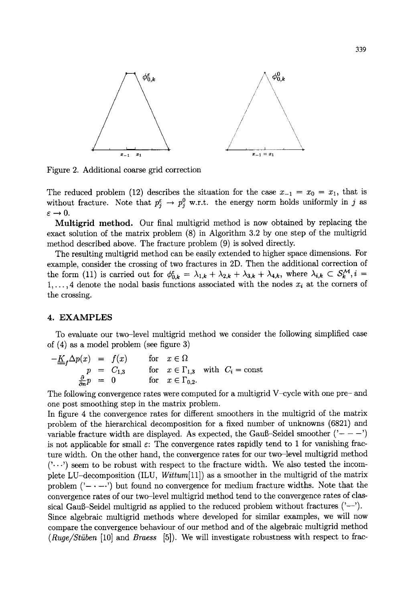

Figure 2. Additional coarse grid correction

The reduced problem (12) describes the situation for the case  $x_{-1} = x_0 = x_1$ , that is without fracture. Note that  $p_i^{\varepsilon} \to p_i^0$  w.r.t. the energy norm holds uniformly in j as  $\varepsilon\rightarrow0.$ 

Multigrid method. Our final multigrid method is now obtained by replacing the exact solution of the matrix problem (8) in Algorithm 3.2 by one step of the multigrid method described above. The fracture problem (9) is solved directly.

The resulting multigrid method can be easily extended to higher space dimensions. For example, consider the crossing of two fractures in 2D. Then the additional correction of the form (11) is carried out for  $\phi_{0,k}^{\varepsilon} = \lambda_{1,k} + \lambda_{2,k} + \lambda_{3,k} + \lambda_{4,k}$ , where  $\lambda_{i,k} \subset S_k^{\mathcal{M}}, i =$  $1, \ldots, 4$  denote the nodal basis functions associated with the nodes  $x_i$  at the corners of the crossing.

#### **4. EXAMPLES**

To evaluate our two-level multigrid method we consider the following simplified case of (4) as a model problem (see figure 3)

$$
-\underline{\underline{K}}_f \Delta p(x) = f(x) \quad \text{for} \quad x \in \Omega
$$
  
\n $p = C_{1,3} \quad \text{for} \quad x \in \Gamma_{1,3} \text{ with } C_i = \text{const}$   
\n $\frac{\partial}{\partial n} p = 0 \quad \text{for} \quad x \in \Gamma_{0,2}.$ 

The following convergence rates were computed for a multigrid V-cycle with one pre- and one post smoothing step in the matrix problem.

In figure 4 the convergence rates for different smoothers in the multigrid of the matrix problem of the hierarchical decomposition for a fixed number of unknowns (6821) and variable fracture width are displayed. As expected, the Gauß-Seidel smoother  $(′- - -'')$ is not applicable for small  $\varepsilon$ : The convergence rates rapidly tend to 1 for vanishing fracture width. On the other hand, the convergence rates for our two-level multigrid method  $(\cdots)$  seem to be robust with respect to the fracture width. We also tested the incomplete LU--decomposition (ILU, *Wittum[ll])* as a smoother in the multigrid of the matrix problem  $($ ' $\cdot$  $\cdot$ ') but found no convergence for medium fracture widths. Note that the convergence rates of our two-level multigrid method tend to the convergence rates of classical Gauß-Seidel multigrid as applied to the reduced problem without fractures  $('-')$ . Since algebraic multigrid methods where developed for similar examples, we will now compare the convergence behaviour of our method and of the algebraic multigrid method *(Ruge/Stiiben* [10] and *Braess* [5]). We will investigate robustness with respect to frac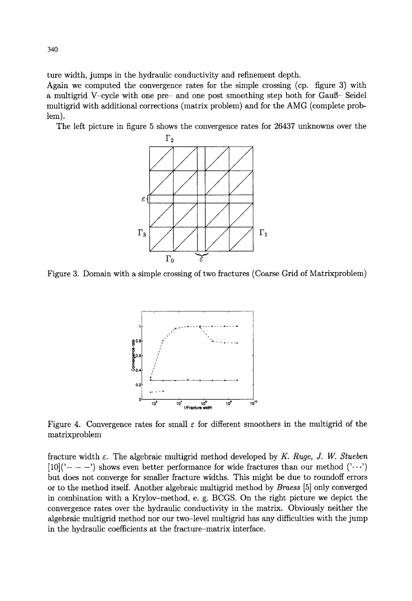ture width, jumps in the hydraulic conductivity and refinement depth.

Again we computed the convergence rates for the simple crossing (cp. figure 3) with a multigrid V-cycle with one pre- and one post smoothing step both for  $GauB$ - Seidel multigrid with additional corrections (matrix problem) and for the AMG (complete problem).

The left picture in figure 5 shows the convergence rates for 26437 unknowns over the



Figure 3. Domain with a simple crossing of two fractures (Coarse Grid of Matrixproblem)



Figure 4. Convergence rates for small  $\varepsilon$  for different smoothers in the multigrid of the matrixproblem

fracture width  $\varepsilon$ . The algebraic multigrid method developed by *K. Ruge, J. W. Stueben*  $[10]$ ('---') shows even better performance for wide fractures than our method (' $\cdots$ ') but does not converge for smaller fracture widths. This might be due to roundoff errors or to the method itself. Another algebraic multigrid method by *Braess* [5] only converged in combination with a Krylov-method, e. g. BCGS. On the right picture we depict the convergence rates over the hydraulic conductivity in the matrix. Obviously neither the algebraic multigrid method nor our two-level multigrid has any difficulties with the jump in the hydraulic coefficients at the fracture-matrix interface.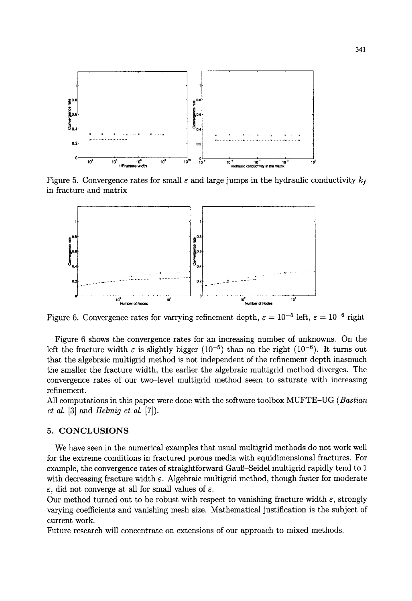

Figure 5. Convergence rates for small  $\varepsilon$  and large jumps in the hydraulic conductivity  $k_f$ in fracture and matrix



Figure 6. Convergence rates for varrying refinement depth,  $\varepsilon = 10^{-5}$  left,  $\varepsilon = 10^{-6}$  right

Figure 6 shows the convergence rates for an increasing number of unknowns. On the left the fracture width  $\varepsilon$  is slightly bigger (10<sup>-5</sup>) than on the right (10<sup>-6</sup>). It turns out that the algebraic multigrid method is not independent of the refinement depth inasmuch the smaller the fracture width, the earlier the algebraic multigrid method diverges. The convergence rates of our two-level multigrid method seem to saturate with increasing refinement.

All computations in this paper were done with the software toolbox MUFTE-UG *(Bastian et al.* [3] and *Helmig et el.* [7]).

# 5. CONCLUSIONS

We have seen in the numerical examples that usual multigrid methods do not work well for the extreme conditions in fractured porous media with equidimensional fractures. For example, the convergence rates of straightforward Gauß–Seidel multigrid rapidly tend to 1 with decreasing fracture width  $\varepsilon$ . Algebraic multigrid method, though faster for moderate  $\varepsilon$ , did not converge at all for small values of  $\varepsilon$ .

Our method turned out to be robust with respect to vanishing fracture width  $\varepsilon$ , strongly varying coefficients and vanishing mesh size. Mathematical justification is the subject of current work.

Future research will concentrate on extensions of our approach to mixed methods.